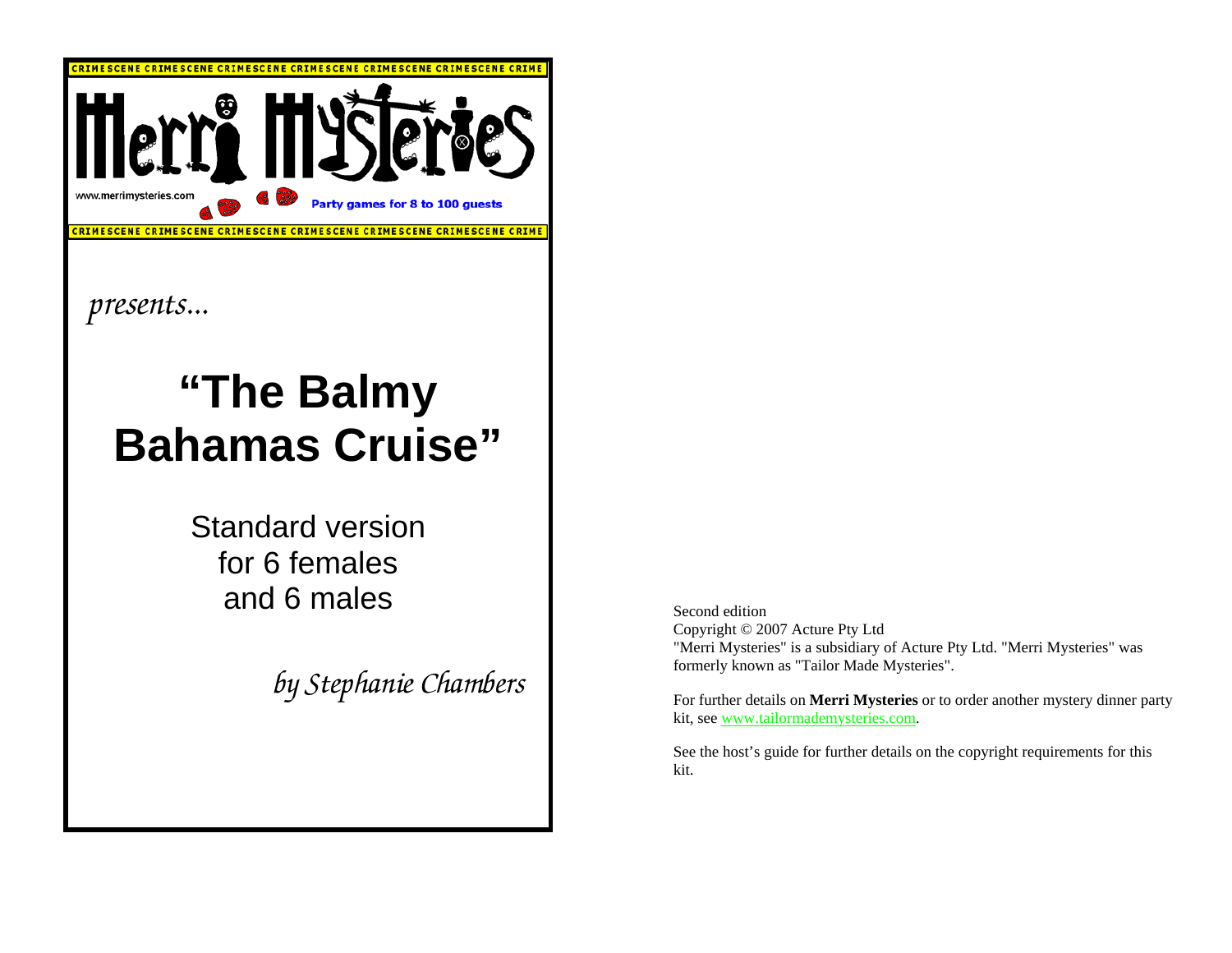

*presents...* 

## **"The Balmy Bahamas Cruise"**

Standard version for 6 females and 6 males

*by Stephanie Chambers* 

Second edition Copyright © 2007 Acture Pty Ltd "Merri Mysteries" is a subsidiary of Acture Pty Ltd. "Merri Mysteries" was formerly known as "Tailor Made Mysteries".

For further details on **Merri Mysteries** or to order another mystery dinner party kit, see www.tailormademysteries.com.

See the host's guide for further details on the copyright requirements for this kit.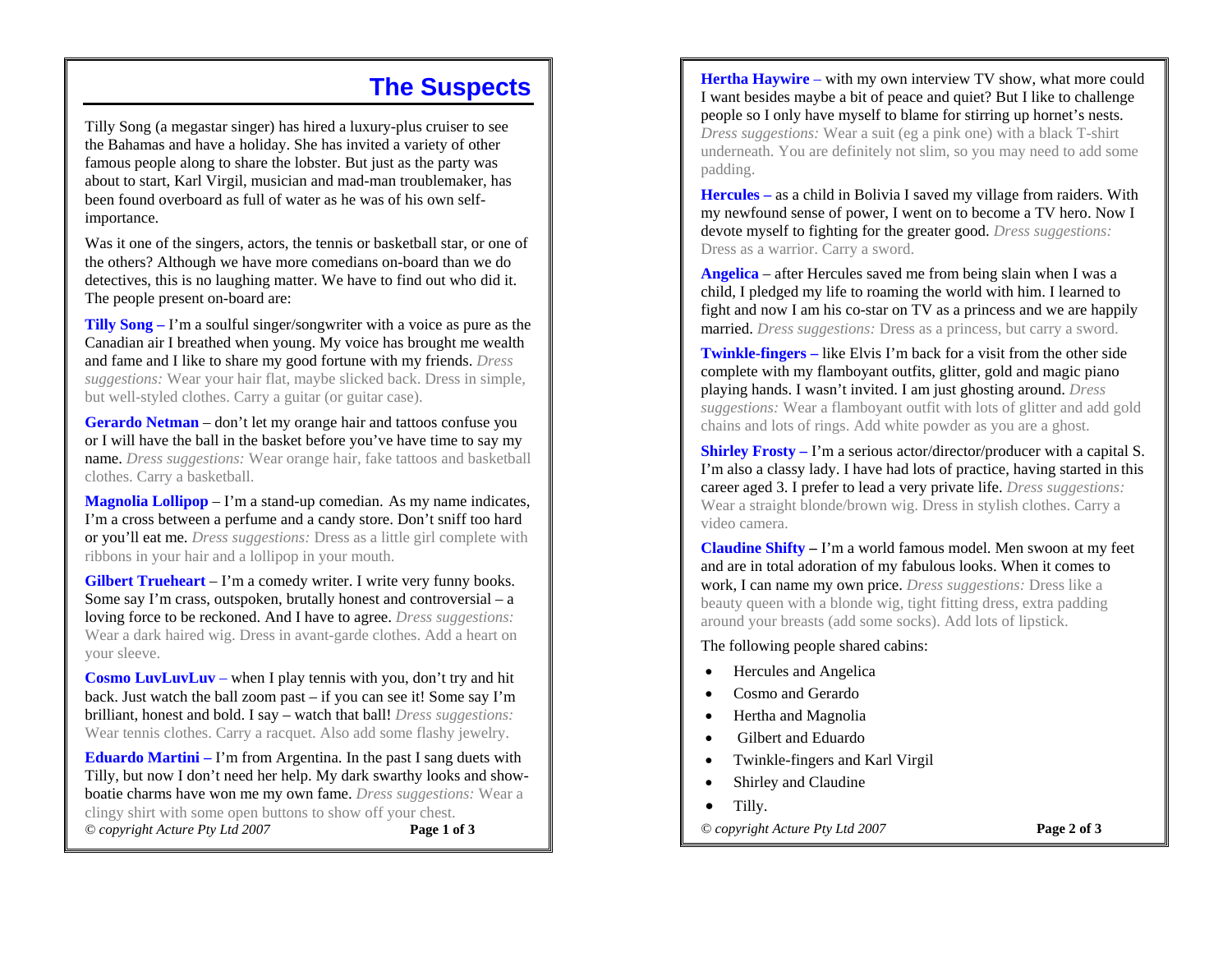#### **The Suspects**

Tilly Song (a megastar singer) has hired a luxury-plus cruiser to see the Bahamas and have a holiday. She has invited a variety of other famous people along to share the lobster. But just as the party was about to start, Karl Virgil, musician and mad-man troublemaker, has been found overboard as full of water as he was of his own selfimportance.

Was it one of the singers, actors, the tennis or basketball star, or one of the others? Although we have more comedians on-board than we do detectives, this is no laughing matter. We have to find out who did it. The people present on-board are:

**Tilly Song** – I'm a soulful singer/songwriter with a voice as pure as the Canadian air I breathed when young. My voice has brought me wealth and fame and I like to share my good fortune with my friends. *Dress suggestions:* Wear your hair flat, maybe slicked back. Dress in simple, but well-styled clothes. Carry a guitar (or guitar case).

**Gerardo Netman** *–* don't let my orange hair and tattoos confuse you or I will have the ball in the basket before you've have time to say my name. *Dress suggestions:* Wear orange hair, fake tattoos and basketball clothes. Carry a basketball.

**Magnolia Lollipop** *–* I'm a stand-up comedian. As my name indicates, I'm a cross between a perfume and a candy store. Don't sniff too hard or you'll eat me. *Dress suggestions:* Dress as a little girl complete with ribbons in your hair and a lollipop in your mouth.

**Gilbert Trueheart** – I'm a comedy writer. I write very funny books. Some say I'm crass, outspoken, brutally honest and controversial  $-$  a loving force to be reckoned. And I have to agree. *Dress suggestions:* Wear a dark haired wig. Dress in avant-garde clothes. Add a heart on your sleeve.

**Cosmo LuvLuvLuv** – when I play tennis with you, don't try and hit back. Just watch the ball zoom past – if you can see it! Some say I'm brilliant, honest and bold. I say – watch that ball! *Dress suggestions:* Wear tennis clothes. Carry a racquet. Also add some flashy jewelry.

**Eduardo Martini –** I'm from Argentina. In the past I sang duets with Tilly, but now I don't need her help. My dark swarthy looks and showboatie charms have won me my own fame. *Dress suggestions:* Wear a clingy shirt with some open buttons to show off your chest. *© copyright Acture Pty Ltd 2007* **Page 1 of 3**

**Hertha Haywire** – with my own interview TV show, what more could I want besides maybe a bit of peace and quiet? But I like to challenge people so I only have myself to blame for stirring up hornet's nests. *Dress suggestions:* Wear a suit (eg a pink one) with a black T-shirt underneath. You are definitely not slim, so you may need to add some padding.

**Hercules –** as a child in Bolivia I saved my village from raiders. With my newfound sense of power, I went on to become a TV hero. Now I devote myself to fighting for the greater good. *Dress suggestions:* Dress as a warrior. Carry a sword.

**Angelica** – after Hercules saved me from being slain when I was a child, I pledged my life to roaming the world with him. I learned to fight and now I am his co-star on TV as a princess and we are happily married. *Dress suggestions:* Dress as a princess, but carry a sword.

**Twinkle-fingers –** like Elvis I'm back for a visit from the other side complete with my flamboyant outfits, glitter, gold and magic piano playing hands. I wasn't invited. I am just ghosting around. *Dress suggestions:* Wear a flamboyant outfit with lots of glitter and add gold chains and lots of rings. Add white powder as you are a ghost.

**Shirley Frosty –** I'm a serious actor/director/producer with a capital S. I'm also a classy lady. I have had lots of practice, having started in this career aged 3. I prefer to lead a very private life. *Dress suggestions:* Wear a straight blonde/brown wig. Dress in stylish clothes. Carry a video camera.

**Claudine Shifty –** I'm a world famous model. Men swoon at my feet and are in total adoration of my fabulous looks. When it comes to work, I can name my own price. *Dress suggestions:* Dress like a beauty queen with a blonde wig, tight fitting dress, extra padding around your breasts (add some socks). Add lots of lipstick.

#### The following people shared cabins:

- •Hercules and Angelica
- •Cosmo and Gerardo
- •Hertha and Magnolia
- Gilbert and Eduardo
- •Twinkle-fingers and Karl Virgil
- •Shirley and Claudine
- •Tilly.
- *© copyright Acture Pty Ltd 2007* **Page 2 of 3**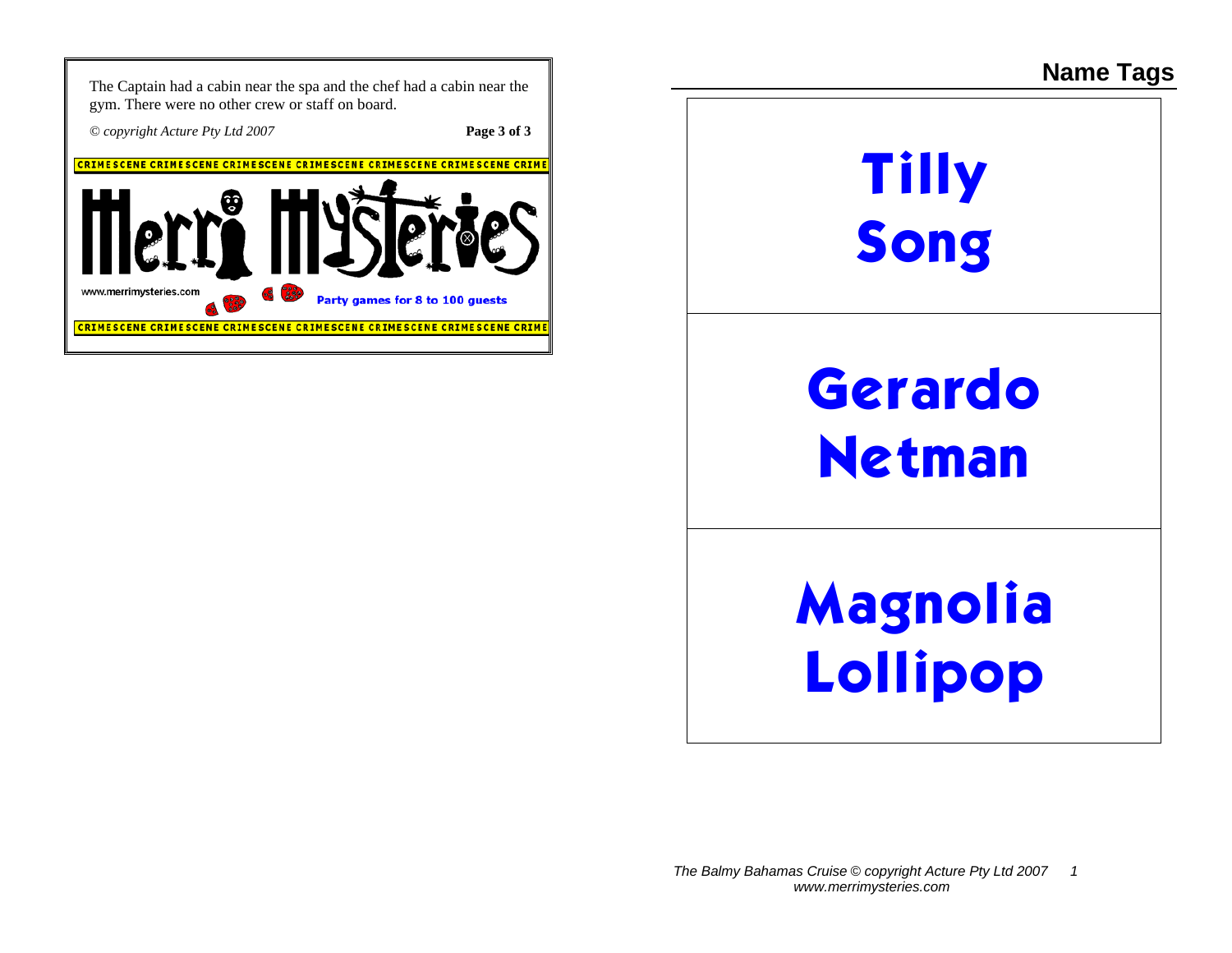#### **Name Tags**

The Captain had a cabin near the spa and the chef had a cabin near the gym. There were no other crew or staff on board.

*© copyright Acture Pty Ltd 2007* **Page 3 of 3** 





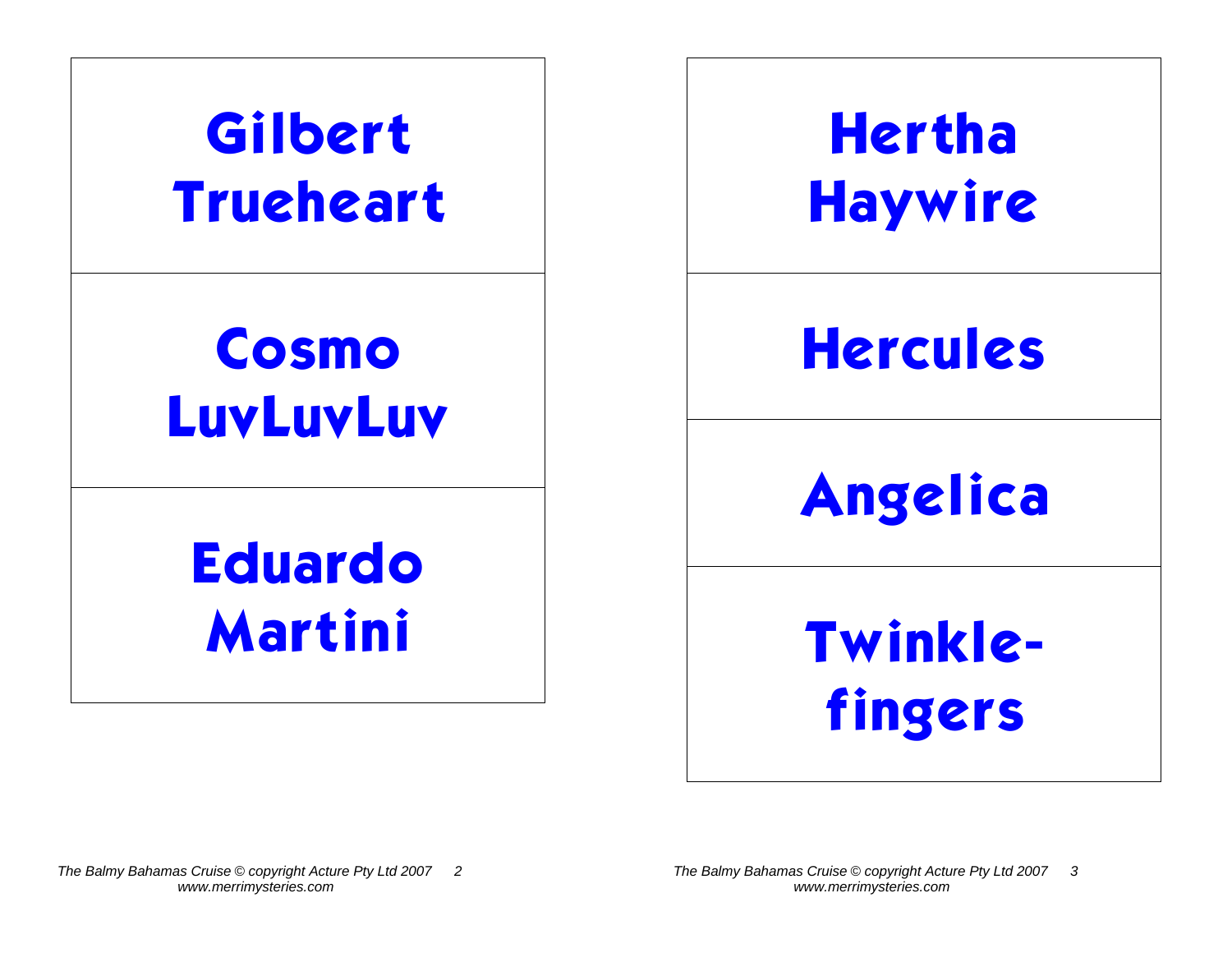

## **Hertha Haywire**

## **Hercules**

**Angelica** 

**Twinklefingers**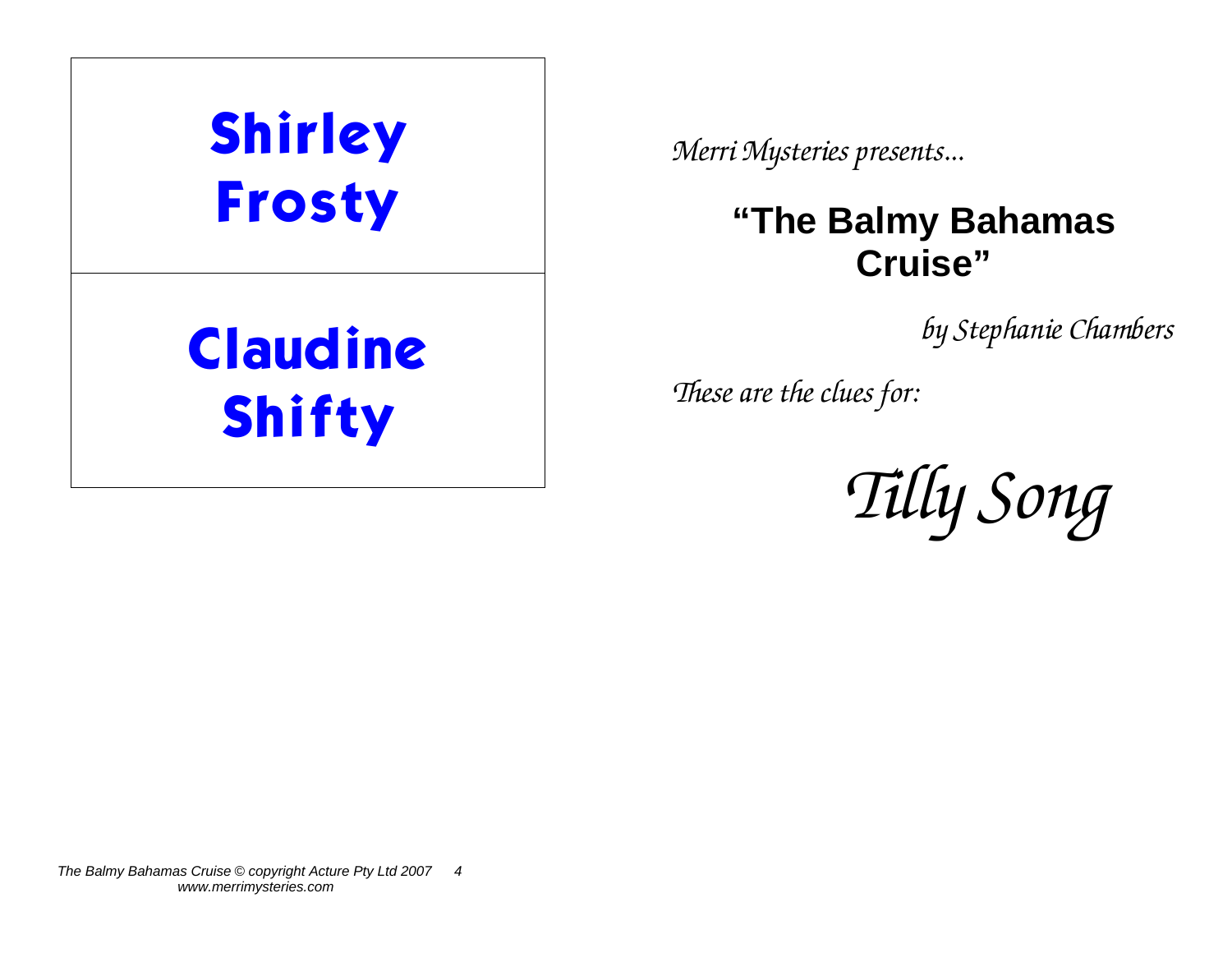| <b>Shirley</b> |  |
|----------------|--|
| <b>Frosty</b>  |  |

# **Claudine Shifty**

*Merri Mysteries presents...* 

### **"The Balmy Bahamas Cruise"**

*by Stephanie Chambers* 

*These are the clues for:* 

*Tilly Song* 

*The Balmy Bahamas Cruise © copyright Acture Pty Ltd 2007 4 www.merrimysteries.com*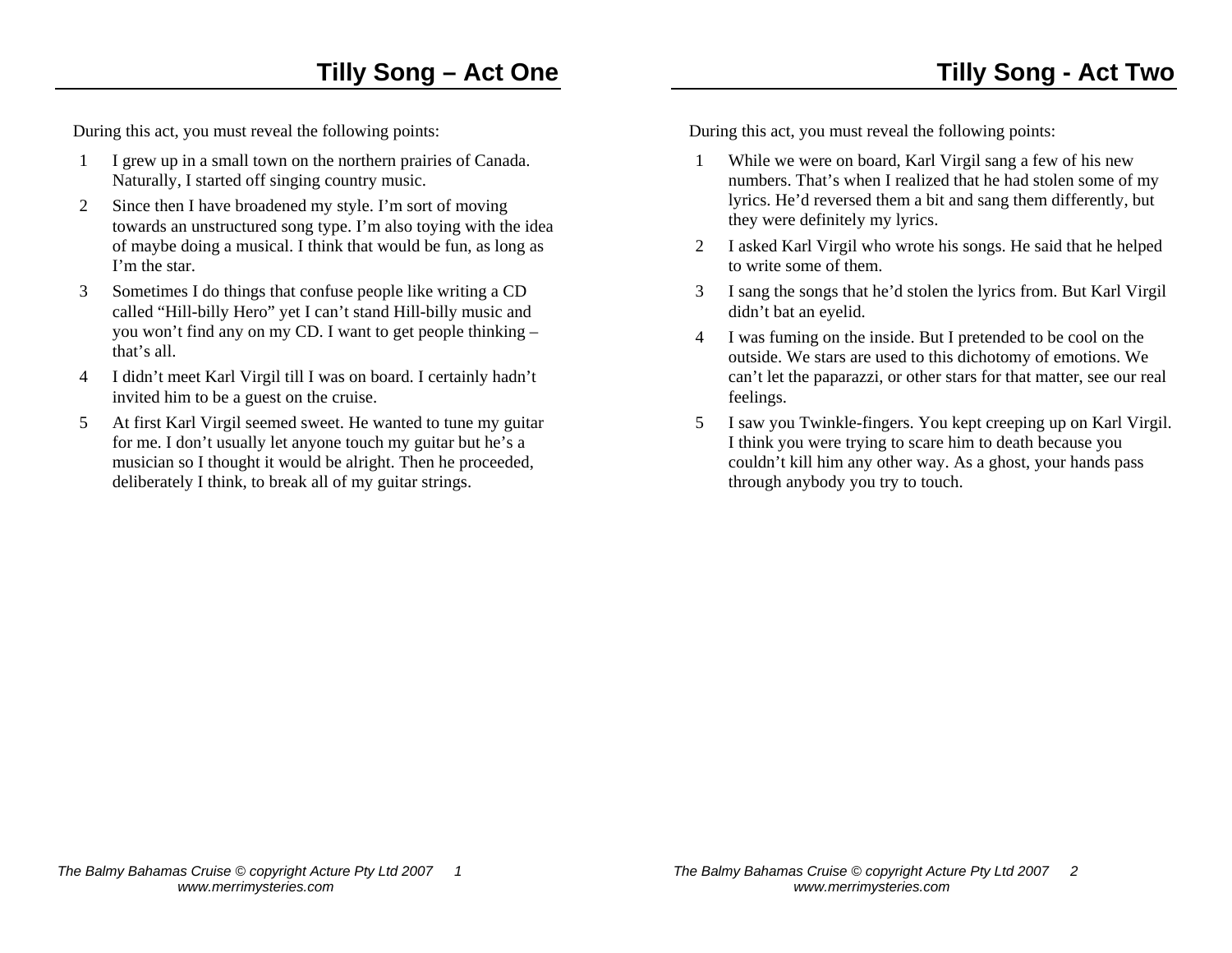- 1 I grew up in a small town on the northern prairies of Canada. Naturally, I started off singing country music.
- 2 Since then I have broadened my style. I'm sort of moving towards an unstructured song type. I'm also toying with the idea of maybe doing a musical. I think that would be fun, as long as I'm the star.
- 3 Sometimes I do things that confuse people like writing a CD called "Hill-billy Hero" yet I can't stand Hill-billy music and you won't find any on my CD. I want to get people thinking – that's all.
- 4 I didn't meet Karl Virgil till I was on board. I certainly hadn't invited him to be a guest on the cruise.
- 5 At first Karl Virgil seemed sweet. He wanted to tune my guitar for me. I don't usually let anyone touch my guitar but he's a musician so I thought it would be alright. Then he proceeded, deliberately I think, to break all of my guitar strings.

- 1 While we were on board, Karl Virgil sang a few of his new numbers. That's when I realized that he had stolen some of my lyrics. He'd reversed them a bit and sang them differently, but they were definitely my lyrics.
- 2 I asked Karl Virgil who wrote his songs. He said that he helped to write some of them.
- 3 I sang the songs that he'd stolen the lyrics from. But Karl Virgil didn't bat an eyelid.
- 4 I was fuming on the inside. But I pretended to be cool on the outside. We stars are used to this dichotomy of emotions. We can't let the paparazzi, or other stars for that matter, see our real feelings.
- 5 I saw you Twinkle-fingers. You kept creeping up on Karl Virgil. I think you were trying to scare him to death because you couldn't kill him any other way. As a ghost, your hands pass through anybody you try to touch.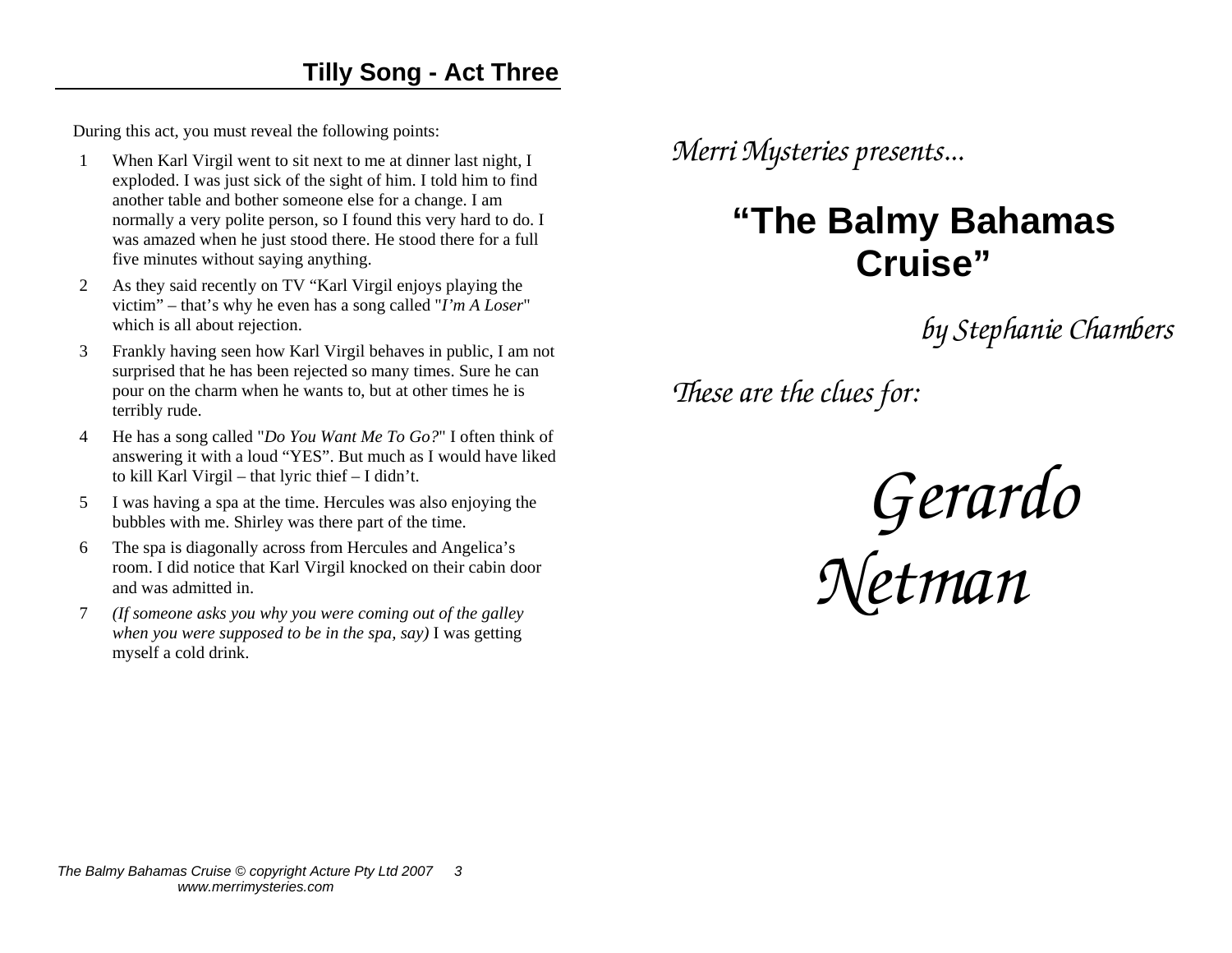- 1 When Karl Virgil went to sit next to me at dinner last night, I exploded. I was just sick of the sight of him. I told him to find another table and bother someone else for a change. I am normally a very polite person, so I found this very hard to do. I was amazed when he just stood there. He stood there for a full five minutes without saying anything.
- 2 As they said recently on TV "Karl Virgil enjoys playing the victim" – that's why he even has a song called "*I'm A Loser*" which is all about rejection.
- 3 Frankly having seen how Karl Virgil behaves in public, I am not surprised that he has been rejected so many times. Sure he can pour on the charm when he wants to, but at other times he is terribly rude.
- 4 He has a song called "*Do You Want Me To Go?*" I often think of answering it with a loud "YES". But much as I would have liked to kill Karl Virgil – that lyric thief – I didn't.
- 5 I was having a spa at the time. Hercules was also enjoying the bubbles with me. Shirley was there part of the time.
- 6 The spa is diagonally across from Hercules and Angelica's room. I did notice that Karl Virgil knocked on their cabin door and was admitted in.
- 7 *(If someone asks you why you were coming out of the galley when you were supposed to be in the spa, say)* I was getting myself a cold drink.

*Merri Mysteries presents...* 

### **"The Balmy Bahamas Cruise"**

*by Stephanie Chambers* 

*These are the clues for:* 

*Gerardo Netman* 

*The Balmy Bahamas Cruise © copyright Acture Pty Ltd 2007 3 www.merrimysteries.com*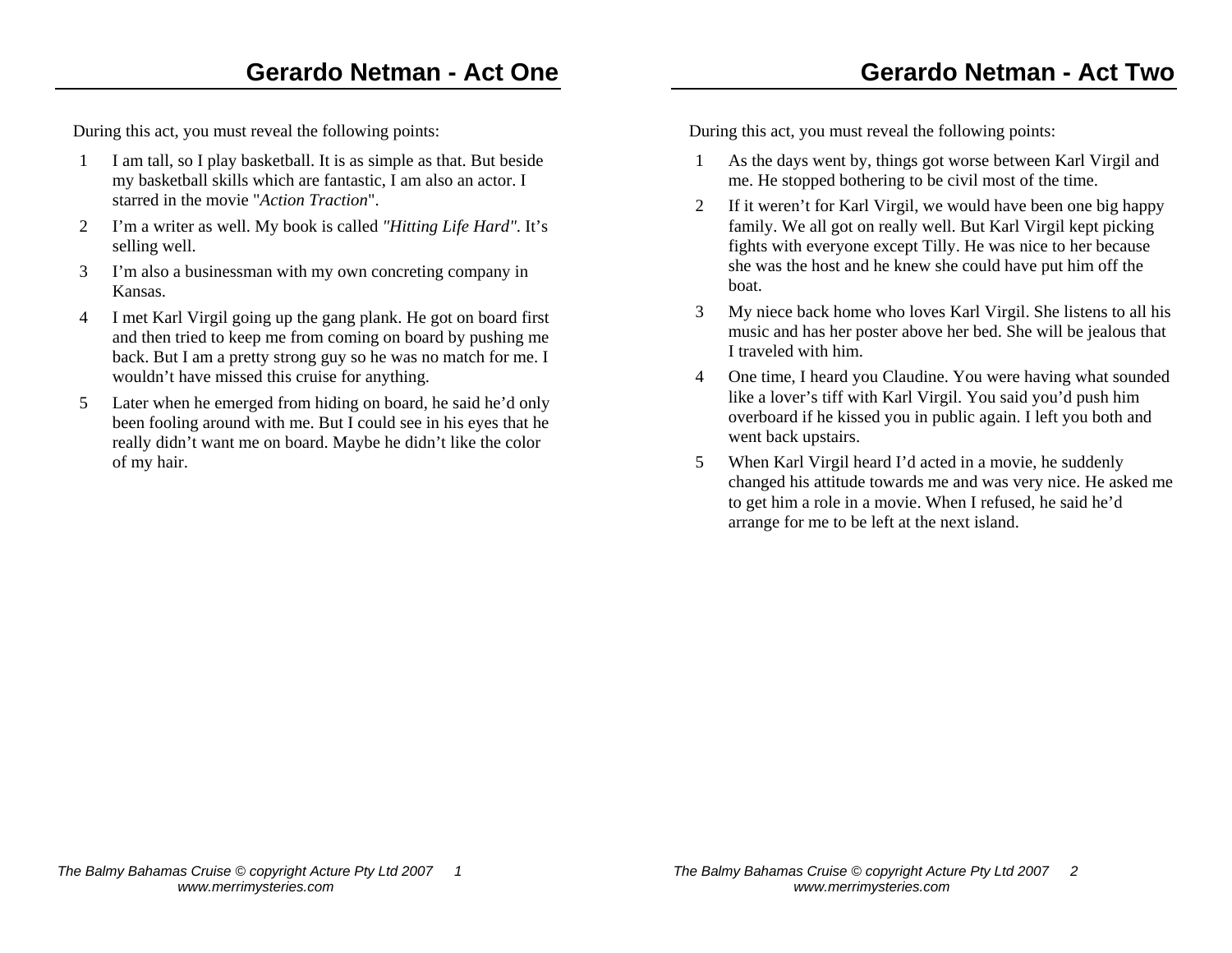- 1 I am tall, so I play basketball. It is as simple as that. But beside my basketball skills which are fantastic, I am also an actor. I starred in the movie "*Action Traction*".
- 2 I'm a writer as well. My book is called *"Hitting Life Hard"*. It's selling well.
- 3 I'm also a businessman with my own concreting company in Kansas.
- 4 I met Karl Virgil going up the gang plank. He got on board first and then tried to keep me from coming on board by pushing me back. But I am a pretty strong guy so he was no match for me. I wouldn't have missed this cruise for anything.
- 5 Later when he emerged from hiding on board, he said he'd only been fooling around with me. But I could see in his eyes that he really didn't want me on board. Maybe he didn't like the color of my hair.

- 1 As the days went by, things got worse between Karl Virgil and me. He stopped bothering to be civil most of the time.
- 2 If it weren't for Karl Virgil, we would have been one big happy family. We all got on really well. But Karl Virgil kept picking fights with everyone except Tilly. He was nice to her because she was the host and he knew she could have put him off the boat.
- 3 My niece back home who loves Karl Virgil. She listens to all his music and has her poster above her bed. She will be jealous that I traveled with him.
- 4 One time, I heard you Claudine. You were having what sounded like a lover's tiff with Karl Virgil. You said you'd push him overboard if he kissed you in public again. I left you both and went back upstairs.
- 5 When Karl Virgil heard I'd acted in a movie, he suddenly changed his attitude towards me and was very nice. He asked me to get him a role in a movie. When I refused, he said he'd arrange for me to be left at the next island.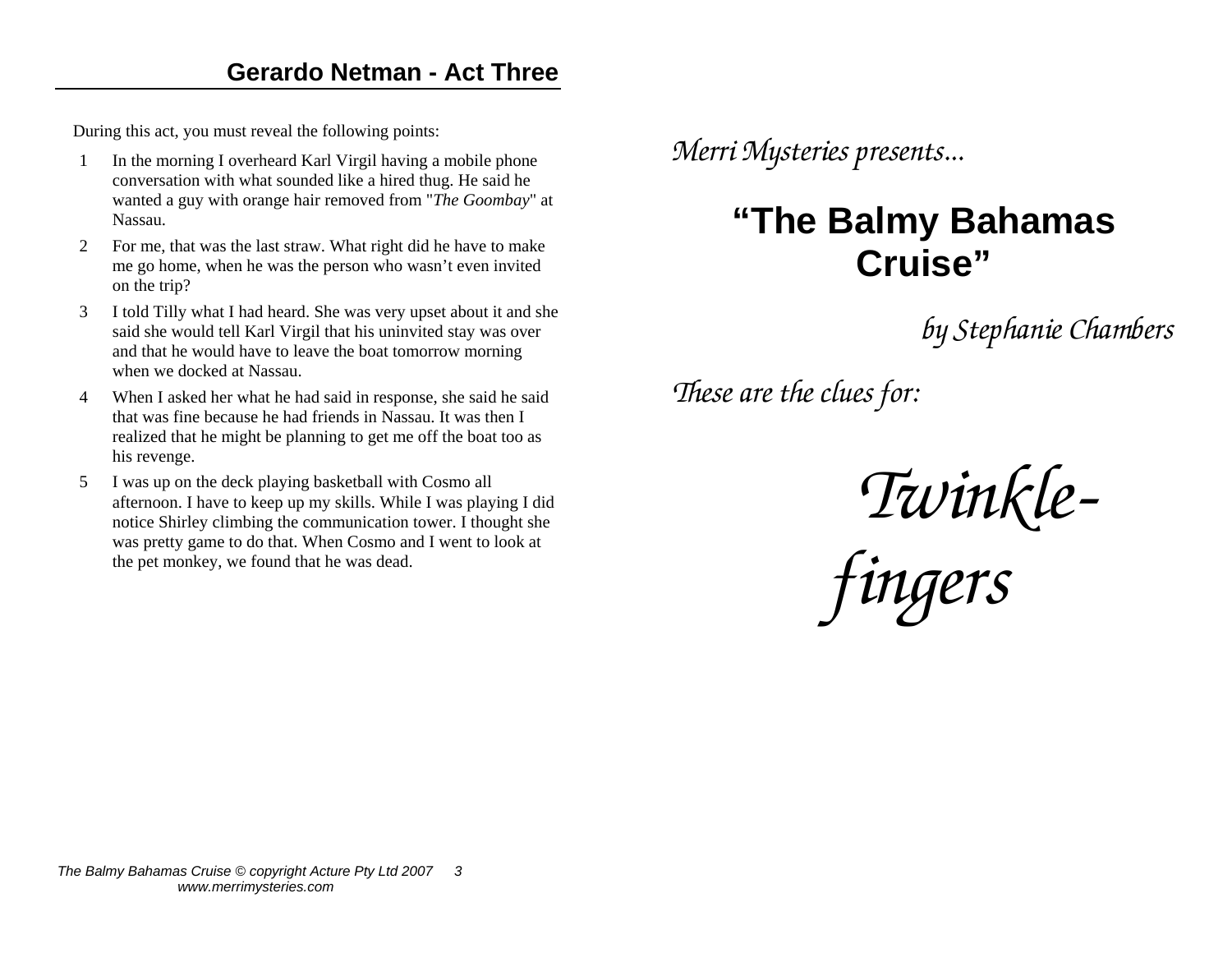- 1 In the morning I overheard Karl Virgil having a mobile phone conversation with what sounded like a hired thug. He said he wanted a guy with orange hair removed from "*The Goombay*" at Nassau.
- 2 For me, that was the last straw. What right did he have to make me go home, when he was the person who wasn't even invited on the trip?
- 3 I told Tilly what I had heard. She was very upset about it and she said she would tell Karl Virgil that his uninvited stay was over and that he would have to leave the boat tomorrow morning when we docked at Nassau.
- 4 When I asked her what he had said in response, she said he said that was fine because he had friends in Nassau. It was then I realized that he might be planning to get me off the boat too as his revenge.
- 5 I was up on the deck playing basketball with Cosmo all afternoon. I have to keep up my skills. While I was playing I did notice Shirley climbing the communication tower. I thought she was pretty game to do that. When Cosmo and I went to look at the pet monkey, we found that he was dead.

*Merri Mysteries presents...* 

### **"The Balmy Bahamas Cruise"**

*by Stephanie Chambers* 

*These are the clues for:* 

*Twinkle-*

*fingers* 

*The Balmy Bahamas Cruise © copyright Acture Pty Ltd 2007 3 www.merrimysteries.com*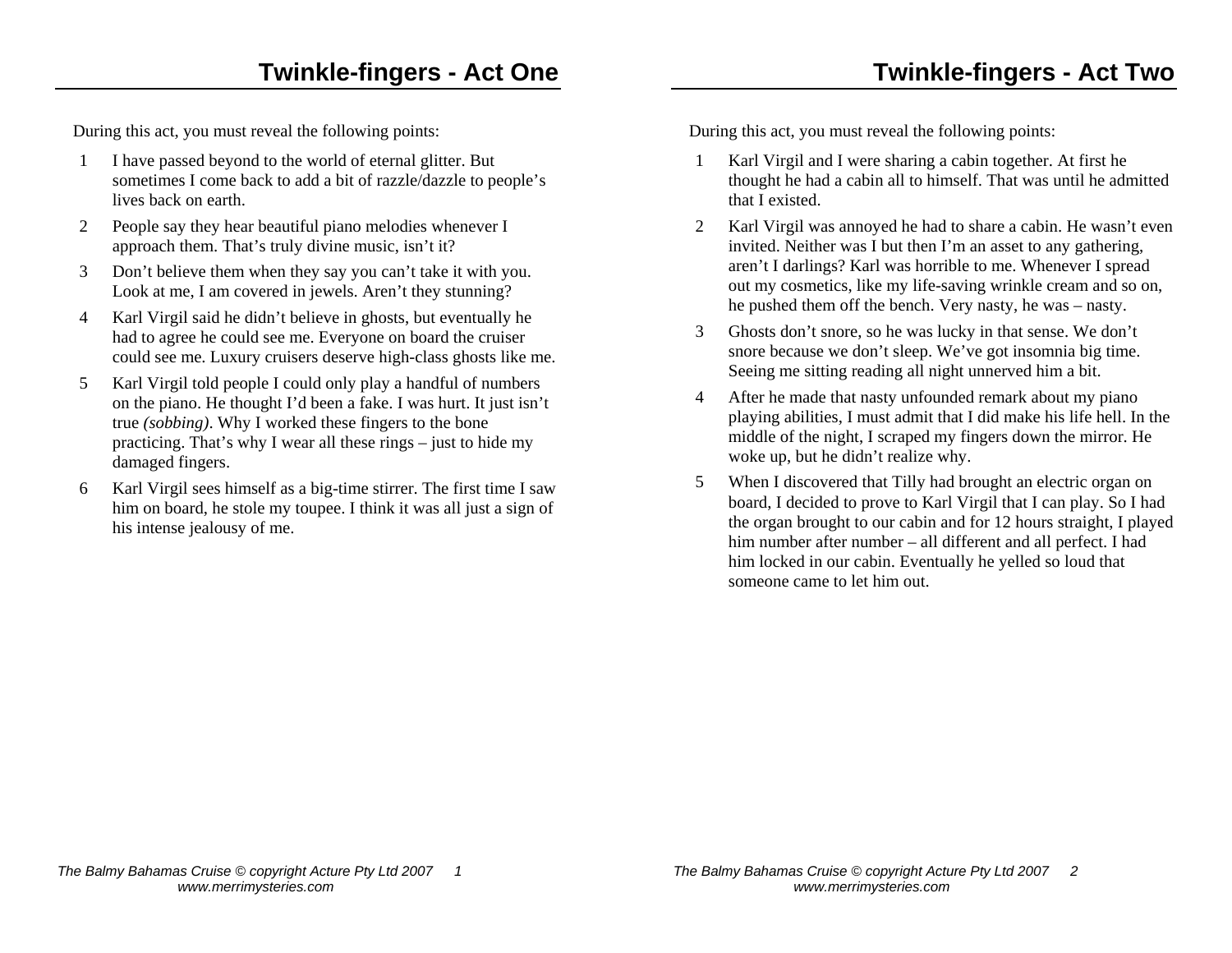- 1 I have passed beyond to the world of eternal glitter. But sometimes I come back to add a bit of razzle/dazzle to people's lives back on earth.
- 2 People say they hear beautiful piano melodies whenever I approach them. That's truly divine music, isn't it?
- 3 Don't believe them when they say you can't take it with you. Look at me, I am covered in jewels. Aren't they stunning?
- 4 Karl Virgil said he didn't believe in ghosts, but eventually he had to agree he could see me. Everyone on board the cruiser could see me. Luxury cruisers deserve high-class ghosts like me.
- 5 Karl Virgil told people I could only play a handful of numbers on the piano. He thought I'd been a fake. I was hurt. It just isn't true *(sobbing)*. Why I worked these fingers to the bone practicing. That's why I wear all these rings – just to hide my damaged fingers.
- 6 Karl Virgil sees himself as a big-time stirrer. The first time I saw him on board, he stole my toupee. I think it was all just a sign of his intense jealousy of me.

- 1 Karl Virgil and I were sharing a cabin together. At first he thought he had a cabin all to himself. That was until he admitted that I existed.
- 2 Karl Virgil was annoyed he had to share a cabin. He wasn't even invited. Neither was I but then I'm an asset to any gathering, aren't I darlings? Karl was horrible to me. Whenever I spread out my cosmetics, like my life-saving wrinkle cream and so on, he pushed them off the bench. Very nasty, he was – nasty.
- 3 Ghosts don't snore, so he was lucky in that sense. We don't snore because we don't sleep. We've got insomnia big time. Seeing me sitting reading all night unnerved him a bit.
- 4 After he made that nasty unfounded remark about my piano playing abilities, I must admit that I did make his life hell. In the middle of the night, I scraped my fingers down the mirror. He woke up, but he didn't realize why.
- 5 When I discovered that Tilly had brought an electric organ on board, I decided to prove to Karl Virgil that I can play. So I had the organ brought to our cabin and for 12 hours straight, I played him number after number – all different and all perfect. I had him locked in our cabin. Eventually he yelled so loud that someone came to let him out.